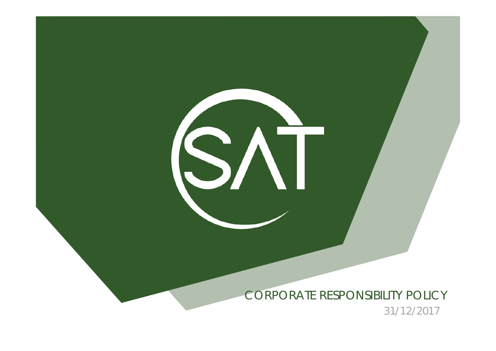CORPORATE RESPONSIBILITY POLICY

I

31/12/2017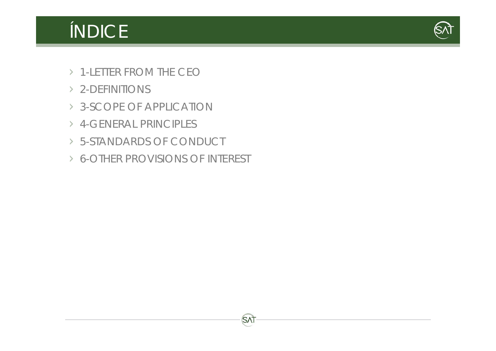# ÍNDICE



- 1-LETTER FROM THE CEO
- 2-DEFINITIONS
- 3-SCOPE OF APPLICATION
- 4-GENERAL PRINCIPLES
- 5-STANDARDS OF CONDUCT
- 6-OTHER PROVISIONS OF INTEREST

**SAT**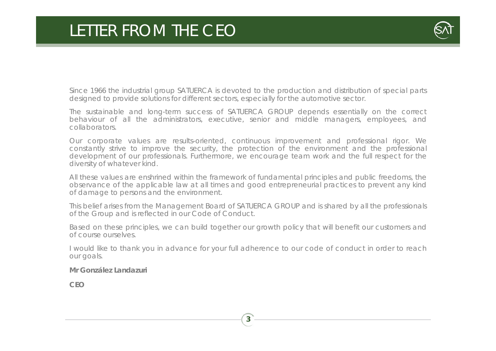### LETTER FROM THE CEO



Since 1966 the industrial group SATUERCA is devoted to the production and distribution of special parts designed to provide solutions for different sectors, especially for the automotive sector.

The sustainable and long-term success of SATUERCA GROUP depends essentially on the correct behaviour of all the administrators, executive, senior and middle managers, employees, and collaborators.

Our corporate values are results-oriented, continuous improvement and professional rigor. We constantly strive to improve the security, the protection of the environment and the professional development of our professionals. Furthermore, we encourage team work and the full respect for the diversity of whatever kind.

All these values are enshrined within the framework of fundamental principles and public freedoms, the observance of the applicable law at all times and good entrepreneurial practices to prevent any kind of damage to persons and the environment.

This belief arises from the Management Board of SATUERCA GROUP and is shared by all the professionals of the Group and is reflected in our Code of Conduct.

Based on these principles, we can build together our growth policy that will benefit our customers and of course ourselves.

I would like to thank you in advance for your full adherence to our code of conduct in order to reach our goals.

**3**

**Mr González Landazuri**

**CEO**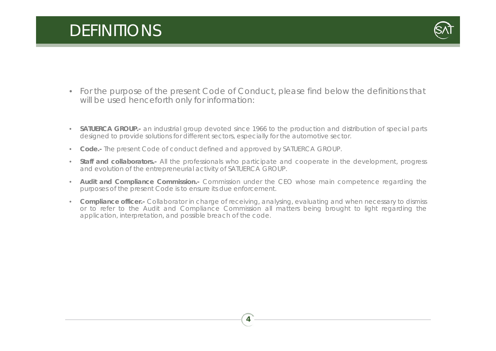## DEFINITIONS



- For the purpose of the present Code of Conduct, please find below the definitions that will be used henceforth only for information:
- **SATUERCA GROUP.-** an industrial group devoted since 1966 to the production and distribution of special parts designed to provide solutions for different sectors, especially for the automotive sector.
- $\bullet$ **Code.-** The present Code of conduct defined and approved by SATUERCA GROUP.
- • **Staff and collaborators.-** All the professionals who participate and cooperate in the development, progress and evolution of the entrepreneurial activity of SATUERCA GROUP.
- • **Audit and Compliance Commission.-** Commission under the CEO whose main competence regarding the purposes of the present Code is to ensure its due enforcement.
- **Compliance officer.-** Collaborator in charge of receiving, analysing, evaluating and when necessary to dismiss or to refer to the Audit and Compliance Commission all matters being brought to light regarding the application, interpretation, and possible breach of the code.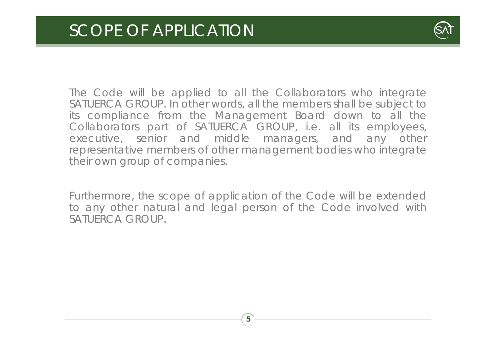

The Code will be applied to all the Collaborators who integrate SATUERCA GROUP. In other words, all the members shall be subject to its compliance from the Management Board down to all the Collaborators part of SATUERCA GROUP, i.e. all its employees, executive, senior and middle managers, and any other representative members of other management bodies who integrate their own group of companies.

Furthermore, the scope of application of the Code will be extended to any other natural and legal person of the Code involved with SATUERCA GROUP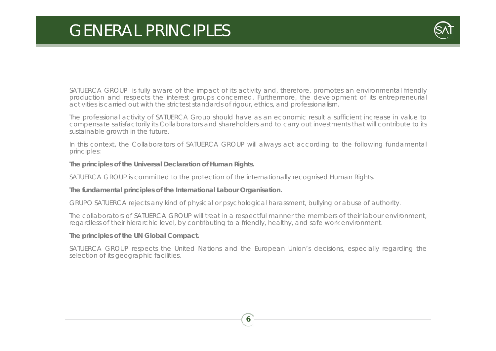### GENERAL PRINCIPLES



SATUERCA GROUP is fully aware of the impact of its activity and, therefore, promotes an environmental friendly production and respects the interest groups concerned. Furthermore, the development of its entrepreneurial activities is carried out with the strictest standards of rigour, ethics, and professionalism.

The professional activity of SATUERCA Group should have as an economic result <sup>a</sup> sufficient increase in value to compensate satisfactorily its Collaborators and shareholders and to carry out investments that will contribute to its sustainable growth in the future.

In this context, the Collaborators of SATUERCA GROUP will always act according to the following fundamental principles:

#### **The principles of the Universal Declaration of Human Rights.**

SATUERCA GROUP is committed to the protection of the internationally recognised Human Rights.

#### **The fundamental principles of the International Labour Organisation.**

GRUPO SATUERCA rejects any kind of physical or psychological harassment, bullying or abuse of authority.

The collaborators of SATUERCA GROUP will treat in <sup>a</sup> respectful manner the members of their labour environment, regardless of their hierarchic level, by contributing to <sup>a</sup> friendly, healthy, and safe work environment.

#### **The principles of the UN Global Compact.**

SATUERCA GROUP respects the United Nations and the European Union's decisions, especially regarding the selection of its geographic facilities.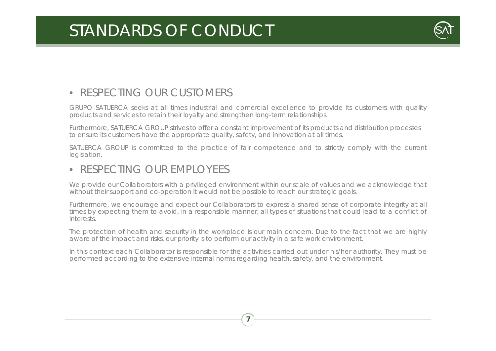

### • RESPECTING OUR CUSTOMERS

GRUPO SATUERCA seeks at all times industrial and comercial excellence to provide its customers with quality products and services to retain their loyalty and strengthen long-term relationships.

Furthermore, SATUERCA GROUP strives to offer a constant improvement of its products and distribution processes to ensure its customers have the appropriate quality, safety, and innovation at all times.

SATUERCA GROUP is committed to the practice of fair competence and to strictly comply with the current legislation.

### • RESPECTING OUR EMPLOYEES

We provide our Collaborators with <sup>a</sup> privileged environment within our scale of values and we acknowledge that without their support and co-operation it would not be possible to reach our strategic goals.

Furthermore, we encourage and expect our Collaborators to express <sup>a</sup> shared sense of corporate integrity at all times by expecting them to avoid, in a responsible manner, all types of situations that could lead to a conflict of interests.

The protection of health and security in the workplace is our main concern. Due to the fact that we are highly aware of the impact and risks, our priority is to perform our activity in <sup>a</sup> safe work environment.

In this context each Collaborator is responsible for the activities carried out under his/her authority. They must be performed according to the extensive internal norms regarding health, safety, and the environment.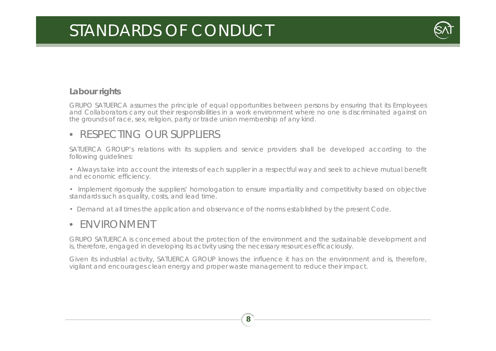

#### **Labour rights**

GRUPO SATUERCA assumes the principle of equal opportunities between persons by ensuring that its Employees and Collaborators carry out their responsibilities in a work environment where no one is discriminated against on the grounds of race, sex, religion, party or trade union membership of any kind.

#### • RESPECTING OUR SUPPLIERS

SATUERCA GROUP's relations with its suppliers and service providers shall be developed according to the following guidelines:

• Always take into account the interests of each supplier in <sup>a</sup> respectful way and seek to achieve mutual benefit and economic efficiency.

• Implement rigorously the suppliers' homologation to ensure impartiality and competitivity based on objective standards such as quality, costs, and lead time.

• Demand at all times the application and observance of the norms established by the present Code.

#### •ENVIRONMENT

GRUPO SATUERCA is concerned about the protection of the environment and the sustainable development and is, therefore, engaged in developing its activity using the necessary resources efficaciously.

Given its industrial activity, SATUERCA GROUP knows the influence it has on the environment and is, therefore, vigilant and encourages clean energy and proper waste management to reduce their impact.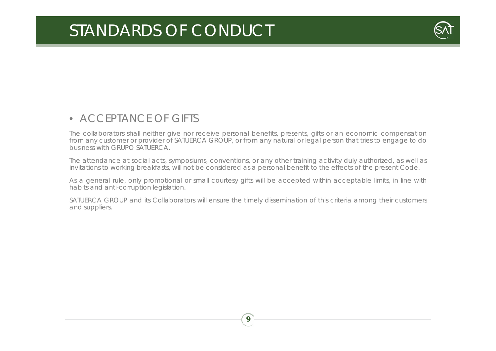

#### • ACCEPTANCE OF GIFTS

The collaborators shall neither give nor receive personal benefits, presents, gifts or an economic compensation from any customer or provider of SATUERCA GROUP, or from any natural or legal person that tries to engage to do business with GRUPO SATUERCA.

The attendance at social acts, symposiums, conventions, or any other training activity duly authorized, as well as invitations to working breakfasts, will not be considered as a personal benefit to the effects of the present Code.

As <sup>a</sup> general rule, only promotional or small courtesy gifts will be accepted within acceptable limits, in line with habits and anti-corruption legislation.

SATUERCA GROUP and its Collaborators will ensure the timely dissemination of this criteria among their customers and suppliers.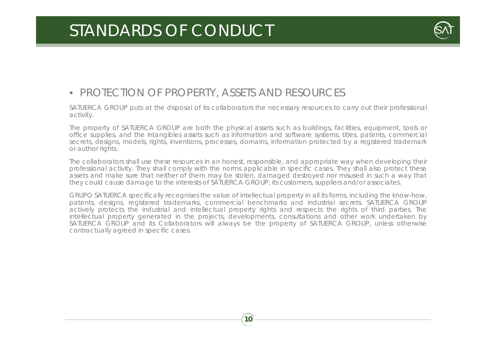

### • PROTECTION OF PROPERTY, ASSETS AND RESOURCES

SATUERCA GROUP puts at the disposal of its collaborators the necessary resources to carry out their professional activity.

The property of SATUERCA GROUP are both the physical assets such as buildings, facilities, equipment, tools or office supplies, and the intangibles assets such as information and software systems, titles, patents, commercial secrets, designs, models, rights, inventions, processes, domains, information protected by <sup>a</sup> registered trademark or author rights.

The collaborators shall use these resources in an honest, responsible, and appropriate way when developing their professional activity. They shall comply with the norms applicable in specific cases. They shall also protect these assets and make sure that neither of them may be stolen, damaged destroyed nor misused in such <sup>a</sup> way that they could cause damage to the interests of SATUERCA GROUP, its customers, suppliers and/or associates.

GRUPO SATUERCA specifically recognises the value of intellectual property in all its forms, including the know-how, patents, designs, registered trademarks, commercial benchmarks and industrial secrets. SATUERCA GROUP actively protects the industrial and intellectual property rights and respects the rights of third parties. The intellectual property generated in the projects, developments, consultations and other work undertaken by SATUERCA GROUP and its Collaborators will always be the property of SATUERCA GROUP, unless otherwise contractually agreed in specific cases.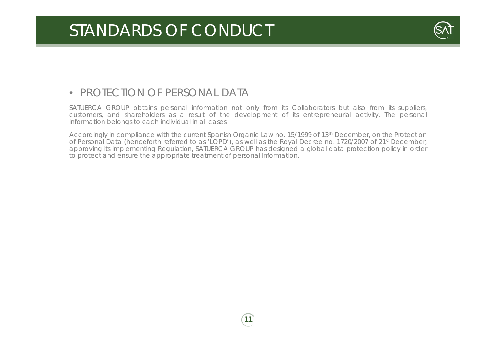

### • PROTECTION OF PERSONAL DATA

SATUERCA GROUP obtains personal information not only from its Collaborators but also from its suppliers, customers, and shareholders as <sup>a</sup> result of the development of its entrepreneurial activity. The personal information belongs to each individual in all cases.

Accordingly in compliance with the current Spanish Organic Law no. 15/1999 of 13th December, on the Protection of Personal Data (henceforth referred to as 'LOPD'), as well as the Royal Decree no. 1720/2007 of 21st December, approving its implementing Regulation, SATUERCA GROUP has designed <sup>a</sup> global data protection policy in order to protect and ensure the appropriate treatment of personal information.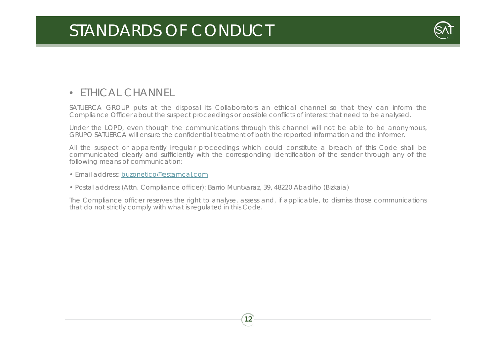

### • ETHICAL CHANNEL

SATUERCA GROUP puts at the disposal its Collaborators an ethical channel so that they can inform the Compliance Officer about the suspect proceedings or possible conflicts of interest that need to be analysed.

Under the LOPD, even though the communications through this channel will not be able to be anonymous, GRUPO SATUERCA will ensure the confidential treatment of both the reported information and the informer.

All the suspect or apparently irregular proceedings which could constitute <sup>a</sup> breach of this Code shall be communicated clearly and sufficiently with the corresponding identification of the sender through any of the following means of communication:

- Email address: buzonetico@estamcal.com
- Postal address (Attn. Compliance officer): Barrio Muntxaraz, 39, 48220 Abadiño (Bizkaia)

The Compliance officer reserves the right to analyse, assess and, if applicable, to dismiss those communications that do not strictly comply with what is regulated in this Code.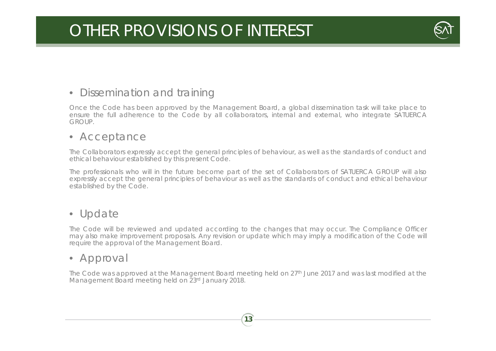## OTHER PROVISIONS OF INTEREST



### • Dissemination and training

Once the Code has been approved by the Management Board, <sup>a</sup> global dissemination task will take place to ensure the full adherence to the Code by all collaborators, internal and external, who integrate SATUERCA GROUP.

#### • Acceptance

The Collaborators expressly accept the general principles of behaviour, as well as the standards of conduct and ethical behaviour established by this present Code.

The professionals who will in the future become part of the set of Collaborators of SATUERCA GROUP will also expressly accept the general principles of behaviour as well as the standards of conduct and ethical behaviour established by the Code.

#### • Update

The Code will be reviewed and updated according to the changes that may occur. The Compliance Officer may also make improvement proposals. Any revision or update which may imply <sup>a</sup> modification of the Code will require the approval of the Management Board.

#### • Approval

The Code was approved at the Management Board meeting held on 27<sup>th</sup> June 2017 and was last modified at the Management Board meeting held on 23rd January 2018.